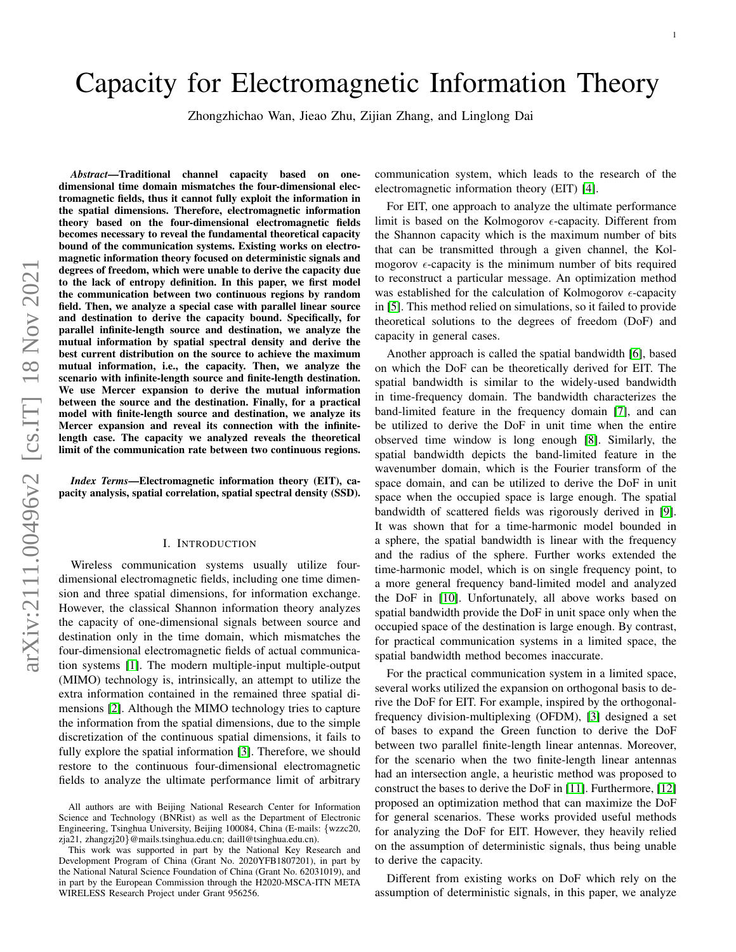# Capacity for Electromagnetic Information Theory

Zhongzhichao Wan, Jieao Zhu, Zijian Zhang, and Linglong Dai

*Abstract*—Traditional channel capacity based on onedimensional time domain mismatches the four-dimensional electromagnetic fields, thus it cannot fully exploit the information in the spatial dimensions. Therefore, electromagnetic information theory based on the four-dimensional electromagnetic fields becomes necessary to reveal the fundamental theoretical capacity bound of the communication systems. Existing works on electromagnetic information theory focused on deterministic signals and degrees of freedom, which were unable to derive the capacity due to the lack of entropy definition. In this paper, we first model the communication between two continuous regions by random field. Then, we analyze a special case with parallel linear source and destination to derive the capacity bound. Specifically, for parallel infinite-length source and destination, we analyze the mutual information by spatial spectral density and derive the best current distribution on the source to achieve the maximum mutual information, i.e., the capacity. Then, we analyze the scenario with infinite-length source and finite-length destination. We use Mercer expansion to derive the mutual information between the source and the destination. Finally, for a practical model with finite-length source and destination, we analyze its Mercer expansion and reveal its connection with the infinitelength case. The capacity we analyzed reveals the theoretical limit of the communication rate between two continuous regions.

*Index Terms*—Electromagnetic information theory (EIT), capacity analysis, spatial correlation, spatial spectral density (SSD).

## I. INTRODUCTION

Wireless communication systems usually utilize fourdimensional electromagnetic fields, including one time dimension and three spatial dimensions, for information exchange. However, the classical Shannon information theory analyzes the capacity of one-dimensional signals between source and destination only in the time domain, which mismatches the four-dimensional electromagnetic fields of actual communication systems [\[1\]](#page-8-0). The modern multiple-input multiple-output (MIMO) technology is, intrinsically, an attempt to utilize the extra information contained in the remained three spatial dimensions [\[2\]](#page-8-1). Although the MIMO technology tries to capture the information from the spatial dimensions, due to the simple discretization of the continuous spatial dimensions, it fails to fully explore the spatial information [\[3\]](#page-8-2). Therefore, we should restore to the continuous four-dimensional electromagnetic fields to analyze the ultimate performance limit of arbitrary

communication system, which leads to the research of the electromagnetic information theory (EIT) [\[4\]](#page-8-3).

For EIT, one approach to analyze the ultimate performance limit is based on the Kolmogorov  $\epsilon$ -capacity. Different from the Shannon capacity which is the maximum number of bits that can be transmitted through a given channel, the Kolmogorov  $\epsilon$ -capacity is the minimum number of bits required to reconstruct a particular message. An optimization method was established for the calculation of Kolmogorov  $\epsilon$ -capacity in [\[5\]](#page-8-4). This method relied on simulations, so it failed to provide theoretical solutions to the degrees of freedom (DoF) and capacity in general cases.

Another approach is called the spatial bandwidth [\[6\]](#page-8-5), based on which the DoF can be theoretically derived for EIT. The spatial bandwidth is similar to the widely-used bandwidth in time-frequency domain. The bandwidth characterizes the band-limited feature in the frequency domain [\[7\]](#page-8-6), and can be utilized to derive the DoF in unit time when the entire observed time window is long enough [\[8\]](#page-8-7). Similarly, the spatial bandwidth depicts the band-limited feature in the wavenumber domain, which is the Fourier transform of the space domain, and can be utilized to derive the DoF in unit space when the occupied space is large enough. The spatial bandwidth of scattered fields was rigorously derived in [\[9\]](#page-8-8). It was shown that for a time-harmonic model bounded in a sphere, the spatial bandwidth is linear with the frequency and the radius of the sphere. Further works extended the time-harmonic model, which is on single frequency point, to a more general frequency band-limited model and analyzed the DoF in [\[10\]](#page-8-9). Unfortunately, all above works based on spatial bandwidth provide the DoF in unit space only when the occupied space of the destination is large enough. By contrast, for practical communication systems in a limited space, the spatial bandwidth method becomes inaccurate.

For the practical communication system in a limited space, several works utilized the expansion on orthogonal basis to derive the DoF for EIT. For example, inspired by the orthogonalfrequency division-multiplexing (OFDM), [\[3\]](#page-8-2) designed a set of bases to expand the Green function to derive the DoF between two parallel finite-length linear antennas. Moreover, for the scenario when the two finite-length linear antennas had an intersection angle, a heuristic method was proposed to construct the bases to derive the DoF in [\[11\]](#page-8-10). Furthermore, [\[12\]](#page-8-11) proposed an optimization method that can maximize the DoF for general scenarios. These works provided useful methods for analyzing the DoF for EIT. However, they heavily relied on the assumption of deterministic signals, thus being unable to derive the capacity.

Different from existing works on DoF which rely on the assumption of deterministic signals, in this paper, we analyze

All authors are with Beijing National Research Center for Information Science and Technology (BNRist) as well as the Department of Electronic Engineering, Tsinghua University, Beijing 100084, China (E-mails: {wzzc20, zja21, zhangzj20}@mails.tsinghua.edu.cn; daill@tsinghua.edu.cn).

This work was supported in part by the National Key Research and Development Program of China (Grant No. 2020YFB1807201), in part by the National Natural Science Foundation of China (Grant No. 62031019), and in part by the European Commission through the H2020-MSCA-ITN META WIRELESS Research Project under Grant 956256.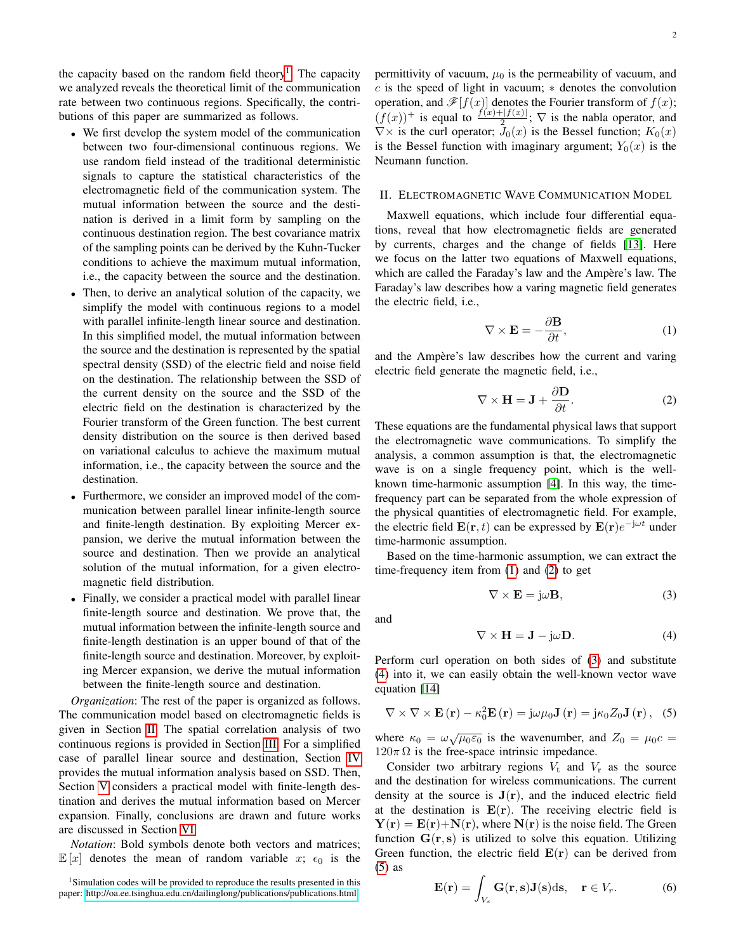the capacity based on the random field theory<sup>[1](#page-1-0)</sup>. The capacity we analyzed reveals the theoretical limit of the communication rate between two continuous regions. Specifically, the contributions of this paper are summarized as follows.

- We first develop the system model of the communication between two four-dimensional continuous regions. We use random field instead of the traditional deterministic signals to capture the statistical characteristics of the electromagnetic field of the communication system. The mutual information between the source and the destination is derived in a limit form by sampling on the continuous destination region. The best covariance matrix of the sampling points can be derived by the Kuhn-Tucker conditions to achieve the maximum mutual information, i.e., the capacity between the source and the destination.
- Then, to derive an analytical solution of the capacity, we simplify the model with continuous regions to a model with parallel infinite-length linear source and destination. In this simplified model, the mutual information between the source and the destination is represented by the spatial spectral density (SSD) of the electric field and noise field on the destination. The relationship between the SSD of the current density on the source and the SSD of the electric field on the destination is characterized by the Fourier transform of the Green function. The best current density distribution on the source is then derived based on variational calculus to achieve the maximum mutual information, i.e., the capacity between the source and the destination.
- Furthermore, we consider an improved model of the communication between parallel linear infinite-length source and finite-length destination. By exploiting Mercer expansion, we derive the mutual information between the source and destination. Then we provide an analytical solution of the mutual information, for a given electromagnetic field distribution.
- Finally, we consider a practical model with parallel linear finite-length source and destination. We prove that, the mutual information between the infinite-length source and finite-length destination is an upper bound of that of the finite-length source and destination. Moreover, by exploiting Mercer expansion, we derive the mutual information between the finite-length source and destination.

*Organization*: The rest of the paper is organized as follows. The communication model based on electromagnetic fields is given in Section [II.](#page-1-1) The spatial correlation analysis of two continuous regions is provided in Section [III.](#page-2-0) For a simplified case of parallel linear source and destination, Section [IV](#page-3-0) provides the mutual information analysis based on SSD. Then, Section [V](#page-5-0) considers a practical model with finite-length destination and derives the mutual information based on Mercer expansion. Finally, conclusions are drawn and future works are discussed in Section [VI.](#page-6-0)

*Notation*: Bold symbols denote both vectors and matrices;  $\mathbb{E}[x]$  denotes the mean of random variable x;  $\epsilon_0$  is the permittivity of vacuum,  $\mu_0$  is the permeability of vacuum, and  $c$  is the speed of light in vacuum;  $*$  denotes the convolution operation, and  $\mathscr{F}[f(x)]$  denotes the Fourier transform of  $f(x)$ ;  $(f(x))^{+}$  is equal to  $\frac{f(x)+|f(x)|}{2}$ ;  $\nabla$  is the nabla operator, and  $\nabla \times$  is the curl operator;  $J_0(x)$  is the Bessel function;  $K_0(x)$ is the Bessel function with imaginary argument;  $Y_0(x)$  is the Neumann function.

## <span id="page-1-1"></span>II. ELECTROMAGNETIC WAVE COMMUNICATION MODEL

Maxwell equations, which include four differential equations, reveal that how electromagnetic fields are generated by currents, charges and the change of fields [\[13\]](#page-8-12). Here we focus on the latter two equations of Maxwell equations, which are called the Faraday's law and the Ampère's law. The Faraday's law describes how a varing magnetic field generates the electric field, i.e.,

<span id="page-1-2"></span>
$$
\nabla \times \mathbf{E} = -\frac{\partial \mathbf{B}}{\partial t},\tag{1}
$$

and the Ampère's law describes how the current and varing electric field generate the magnetic field, i.e.,

<span id="page-1-3"></span>
$$
\nabla \times \mathbf{H} = \mathbf{J} + \frac{\partial \mathbf{D}}{\partial t}.
$$
 (2)

These equations are the fundamental physical laws that support the electromagnetic wave communications. To simplify the analysis, a common assumption is that, the electromagnetic wave is on a single frequency point, which is the wellknown time-harmonic assumption [\[4\]](#page-8-3). In this way, the timefrequency part can be separated from the whole expression of the physical quantities of electromagnetic field. For example, the electric field  $\mathbf{E}(\mathbf{r},t)$  can be expressed by  $\mathbf{E}(\mathbf{r})e^{-j\omega t}$  under time-harmonic assumption.

Based on the time-harmonic assumption, we can extract the time-frequency item from [\(1\)](#page-1-2) and [\(2\)](#page-1-3) to get

<span id="page-1-4"></span>
$$
\nabla \times \mathbf{E} = j\omega \mathbf{B},\tag{3}
$$

and

<span id="page-1-5"></span>
$$
\nabla \times \mathbf{H} = \mathbf{J} - j\omega \mathbf{D}.
$$
 (4)

Perform curl operation on both sides of [\(3\)](#page-1-4) and substitute [\(4\)](#page-1-5) into it, we can easily obtain the well-known vector wave equation [\[14\]](#page-8-13)

<span id="page-1-6"></span>
$$
\nabla \times \nabla \times \mathbf{E}(\mathbf{r}) - \kappa_0^2 \mathbf{E}(\mathbf{r}) = j\omega\mu_0 \mathbf{J}(\mathbf{r}) = j\kappa_0 Z_0 \mathbf{J}(\mathbf{r}), \quad (5)
$$

where  $\kappa_0 = \omega \sqrt{\mu_0 \varepsilon_0}$  is the wavenumber, and  $Z_0 = \mu_0 c =$  $120\pi\Omega$  is the free-space intrinsic impedance.

Consider two arbitrary regions  $V_t$  and  $V_r$  as the source and the destination for wireless communications. The current density at the source is  $J(r)$ , and the induced electric field at the destination is  $E(r)$ . The receiving electric field is  $Y(r) = E(r)+N(r)$ , where  $N(r)$  is the noise field. The Green function  $G(r, s)$  is utilized to solve this equation. Utilizing Green function, the electric field  $E(r)$  can be derived from [\(5\)](#page-1-6) as

<span id="page-1-7"></span>
$$
\mathbf{E}(\mathbf{r}) = \int_{V_s} \mathbf{G}(\mathbf{r}, \mathbf{s}) \mathbf{J}(\mathbf{s}) \mathrm{d}\mathbf{s}, \quad \mathbf{r} \in V_r. \tag{6}
$$

<span id="page-1-0"></span><sup>&</sup>lt;sup>1</sup>Simulation codes will be provided to reproduce the results presented in this paper: [http://oa.ee.tsinghua.edu.cn/dailinglong/publications/publications.html.](http://oa.ee.tsinghua.edu.cn/dailinglong/publications/publications.html)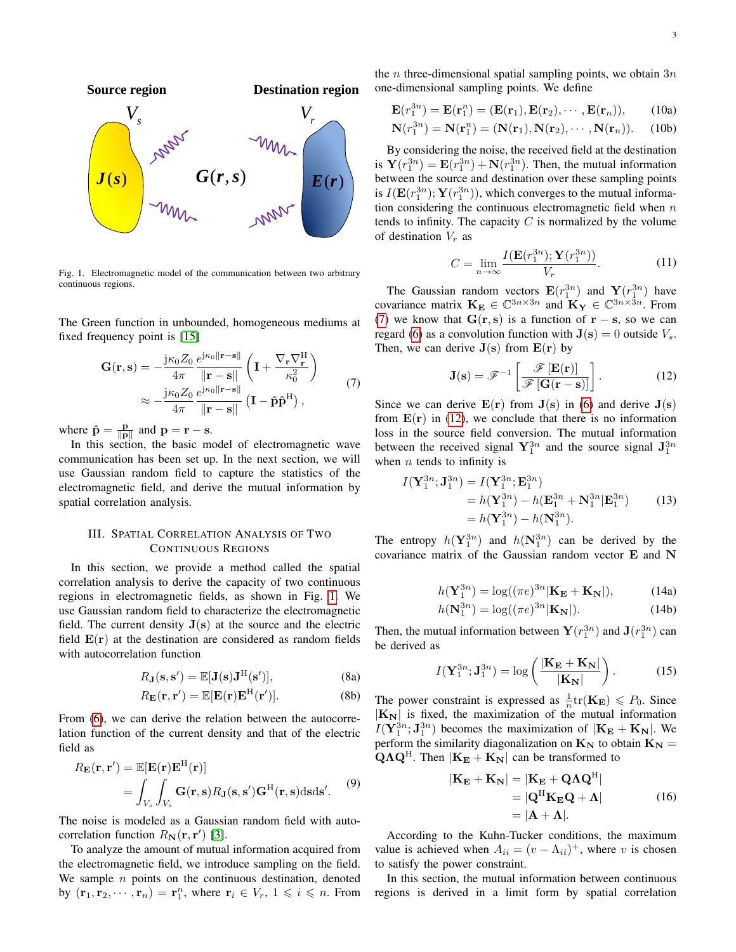

<span id="page-2-1"></span>Fig. 1. Electromagnetic model of the communication between two arbitrary continuous regions.

The Green function in unbounded, homogeneous mediums at fixed frequency point is [\[15\]](#page-8-14)

<span id="page-2-2"></span>
$$
\mathbf{G}(\mathbf{r}, \mathbf{s}) = -\frac{\mathbf{j}\kappa_0 Z_0}{4\pi} \frac{e^{\mathbf{j}\kappa_0 \|\mathbf{r} - \mathbf{s}\|}}{\|\mathbf{r} - \mathbf{s}\|} \left( \mathbf{I} + \frac{\nabla_{\mathbf{r}} \nabla_{\mathbf{r}}^{\mathbf{H}}}{\kappa_0^2} \right)
$$
  
 
$$
\approx -\frac{\mathbf{j}\kappa_0 Z_0}{4\pi} \frac{e^{\mathbf{j}\kappa_0 \|\mathbf{r} - \mathbf{s}\|}}{\|\mathbf{r} - \mathbf{s}\|} \left( \mathbf{I} - \hat{\mathbf{p}} \hat{\mathbf{p}}^{\mathbf{H}} \right),
$$
 (7)

where  $\hat{\mathbf{p}} = \frac{\mathbf{p}}{\|\mathbf{p}\|}$  and  $\mathbf{p} = \mathbf{r} - \mathbf{s}$ .

In this section, the basic model of electromagnetic wave communication has been set up. In the next section, we will use Gaussian random field to capture the statistics of the electromagnetic field, and derive the mutual information by spatial correlation analysis.

## <span id="page-2-0"></span>III. SPATIAL CORRELATION ANALYSIS OF TWO CONTINUOUS REGIONS

In this section, we provide a method called the spatial correlation analysis to derive the capacity of two continuous regions in electromagnetic fields, as shown in Fig. [1.](#page-2-1) We use Gaussian random field to characterize the electromagnetic field. The current density  $J(s)$  at the source and the electric field  $E(r)$  at the destination are considered as random fields with autocorrelation function

$$
R_{\mathbf{J}}(\mathbf{s}, \mathbf{s}') = \mathbb{E}[\mathbf{J}(\mathbf{s})\mathbf{J}^{\mathrm{H}}(\mathbf{s}')] ,\tag{8a}
$$

$$
R_{\mathbf{E}}(\mathbf{r}, \mathbf{r}') = \mathbb{E}[\mathbf{E}(\mathbf{r})\mathbf{E}^{\mathrm{H}}(\mathbf{r}')] \tag{8b}
$$

From [\(6\)](#page-1-7), we can derive the relation between the autocorrelation function of the current density and that of the electric field as

$$
R_{\mathbf{E}}(\mathbf{r}, \mathbf{r}') = \mathbb{E}[\mathbf{E}(\mathbf{r})\mathbf{E}^{\mathrm{H}}(\mathbf{r})]
$$
  
= 
$$
\int_{V_s} \int_{V_s} \mathbf{G}(\mathbf{r}, \mathbf{s}) R_{\mathbf{J}}(\mathbf{s}, \mathbf{s}') \mathbf{G}^{\mathrm{H}}(\mathbf{r}, \mathbf{s}) \mathrm{d} \mathbf{s} \mathrm{d} \mathbf{s}'.
$$
 (9)

The noise is modeled as a Gaussian random field with autocorrelation function  $R_N(\mathbf{r}, \mathbf{r}')$  [\[3\]](#page-8-2).

To analyze the amount of mutual information acquired from the electromagnetic field, we introduce sampling on the field. We sample  $n$  points on the continuous destination, denoted by  $(\mathbf{r}_1, \mathbf{r}_2, \cdots, \mathbf{r}_n) = \mathbf{r}_1^n$ , where  $\mathbf{r}_i \in V_r$ ,  $1 \leq i \leq n$ . From

the *n* three-dimensional spatial sampling points, we obtain  $3n$ one-dimensional sampling points. We define

$$
\mathbf{E}(r_1^{3n}) = \mathbf{E}(\mathbf{r}_1^n) = (\mathbf{E}(\mathbf{r}_1), \mathbf{E}(\mathbf{r}_2), \cdots, \mathbf{E}(\mathbf{r}_n)),
$$
 (10a)

$$
\mathbf{N}(r_1^{3n}) = \mathbf{N}(\mathbf{r}_1^n) = (\mathbf{N}(\mathbf{r}_1), \mathbf{N}(\mathbf{r}_2), \cdots, \mathbf{N}(\mathbf{r}_n)).
$$
 (10b)

By considering the noise, the received field at the destination is  $\mathbf{Y}(r_1^{3n}) = \mathbf{E}(r_1^{3n}) + \mathbf{N}(r_1^{3n})$ . Then, the mutual information between the source and destination over these sampling points is  $I(\mathbf{E}(r_1^{3n}); \mathbf{Y}(r_1^{3n})),$  which converges to the mutual information considering the continuous electromagnetic field when  $n$ tends to infinity. The capacity  $C$  is normalized by the volume of destination  $V_r$  as

$$
C = \lim_{n \to \infty} \frac{I(\mathbf{E}(r_1^{3n}); \mathbf{Y}(r_1^{3n}))}{V_r}.
$$
 (11)

The Gaussian random vectors  $\mathbf{E}(r_1^{3n})$  and  $\mathbf{Y}(r_1^{3n})$  have covariance matrix  $\mathbf{K}_{\mathbf{E}} \in \mathbb{C}^{3n \times 3n}$  and  $\mathbf{K}_{\mathbf{Y}} \in \mathbb{C}^{3n \times 3n}$ . From [\(7\)](#page-2-2) we know that  $G(r, s)$  is a function of  $r - s$ , so we can regard [\(6\)](#page-1-7) as a convolution function with  $J(s) = 0$  outside  $V_s$ . Then, we can derive  $J(s)$  from  $E(r)$  by

<span id="page-2-3"></span>
$$
\mathbf{J}(\mathbf{s}) = \mathscr{F}^{-1} \left[ \frac{\mathscr{F}[\mathbf{E}(\mathbf{r})]}{\mathscr{F}[\mathbf{G}(\mathbf{r} - \mathbf{s})]} \right]. \tag{12}
$$

Since we can derive  $E(r)$  from  $J(s)$  in [\(6\)](#page-1-7) and derive  $J(s)$ from  $E(r)$  in [\(12\)](#page-2-3), we conclude that there is no information loss in the source field conversion. The mutual information between the received signal  $Y_1^{3n}$  and the source signal  $J_1^{3n}$ when  $n$  tends to infinity is

$$
I(\mathbf{Y}_{1}^{3n}; \mathbf{J}_{1}^{3n}) = I(\mathbf{Y}_{1}^{3n}; \mathbf{E}_{1}^{3n})
$$
  
=  $h(\mathbf{Y}_{1}^{3n}) - h(\mathbf{E}_{1}^{3n} + \mathbf{N}_{1}^{3n} | \mathbf{E}_{1}^{3n})$  (13)  
=  $h(\mathbf{Y}_{1}^{3n}) - h(\mathbf{N}_{1}^{3n}).$ 

The entropy  $h(\mathbf{Y}_1^{3n})$  and  $h(\mathbf{N}_1^{3n})$  can be derived by the covariance matrix of the Gaussian random vector E and N

$$
h(\mathbf{Y}_1^{3n}) = \log((\pi e)^{3n} |\mathbf{K_E} + \mathbf{K_N}|), \tag{14a}
$$

$$
h(\mathbf{N}_1^{3n}) = \log((\pi e)^{3n} |\mathbf{K}_\mathbf{N}|). \tag{14b}
$$

Then, the mutual information between  $\mathbf{Y}(r_1^{3n})$  and  $\mathbf{J}(r_1^{3n})$  can be derived as

$$
I(\mathbf{Y}_1^{3n}; \mathbf{J}_1^{3n}) = \log\left(\frac{|\mathbf{K_E} + \mathbf{K_N}|}{|\mathbf{K_N}|}\right). \tag{15}
$$

The power constraint is expressed as  $\frac{1}{n}$ tr(**K**<sub>E</sub>)  $\leq P_0$ . Since  $|K_N|$  is fixed, the maximization of the mutual information  $I(Y_1^{3n};{\bf J}_1^{3n})$  becomes the maximization of  $|{\bf K_E}+{\bf K_N}|$ . We perform the similarity diagonalization on  $K_N$  to obtain  $K_N =$  $\mathbf{Q}\Lambda\mathbf{Q}^{\mathrm{H}}$ . Then  $|\mathbf{K}_{\mathbf{E}} + \mathbf{K}_{\mathbf{N}}|$  can be transformed to

$$
|\mathbf{K}_{\mathbf{E}} + \mathbf{K}_{\mathbf{N}}| = |\mathbf{K}_{\mathbf{E}} + \mathbf{Q}\Lambda \mathbf{Q}^{\mathrm{H}}|
$$
  
= |\mathbf{Q}^{\mathrm{H}}\mathbf{K}\_{\mathbf{E}}\mathbf{Q} + \Lambda|  
= |\mathbf{A} + \Lambda|. \t(16)

According to the Kuhn-Tucker conditions, the maximum value is achieved when  $A_{ii} = (v - \Lambda_{ii})^+$ , where v is chosen to satisfy the power constraint.

In this section, the mutual information between continuous regions is derived in a limit form by spatial correlation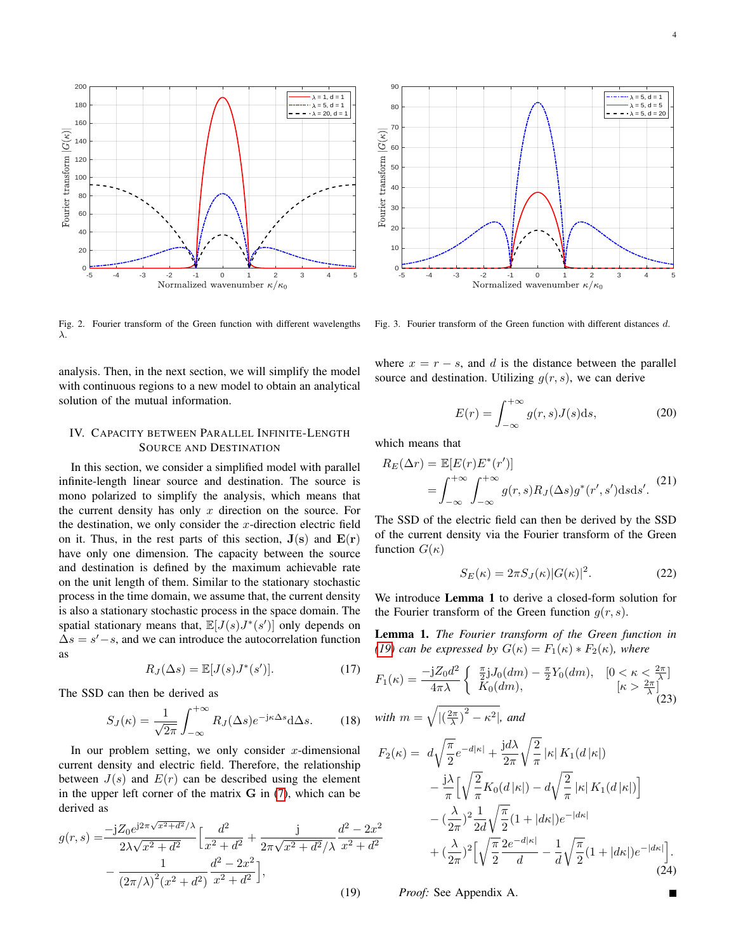200  $\lambda = 1$ , d = 1 180  $\lambda = 5$ , d = 1  $\lambda = 20$ , d 160 Fourier transform  $|G(\kappa)|$ 140 120 100 80 60 40 20  $0.5$ -5 -4 -3 -2 -1 0 1 2 3 4 5 Normalized wavenumber  $\kappa/\kappa_0$ 

<span id="page-3-2"></span>Fig. 2. Fourier transform of the Green function with different wavelengths λ.

analysis. Then, in the next section, we will simplify the model with continuous regions to a new model to obtain an analytical solution of the mutual information.

# <span id="page-3-0"></span>IV. CAPACITY BETWEEN PARALLEL INFINITE-LENGTH SOURCE AND DESTINATION

In this section, we consider a simplified model with parallel infinite-length linear source and destination. The source is mono polarized to simplify the analysis, which means that the current density has only  $x$  direction on the source. For the destination, we only consider the  $x$ -direction electric field on it. Thus, in the rest parts of this section,  $J(s)$  and  $E(r)$ have only one dimension. The capacity between the source and destination is defined by the maximum achievable rate on the unit length of them. Similar to the stationary stochastic process in the time domain, we assume that, the current density is also a stationary stochastic process in the space domain. The spatial stationary means that,  $\mathbb{E}[J(s)J^*(s')]$  only depends on  $\Delta s = s' - s$ , and we can introduce the autocorrelation function as

$$
R_J(\Delta s) = \mathbb{E}[J(s)J^*(s')]. \tag{17}
$$

The SSD can then be derived as

$$
S_J(\kappa) = \frac{1}{\sqrt{2\pi}} \int_{-\infty}^{+\infty} R_J(\Delta s) e^{-j\kappa \Delta s} d\Delta s.
$$
 (18)

In our problem setting, we only consider  $x$ -dimensional current density and electric field. Therefore, the relationship between  $J(s)$  and  $E(r)$  can be described using the element in the upper left corner of the matrix  $G$  in  $(7)$ , which can be derived as

<span id="page-3-1"></span>
$$
g(r,s) = \frac{-jZ_0 e^{j2\pi\sqrt{x^2+d^2}/\lambda}}{2\lambda\sqrt{x^2+d^2}} \left[\frac{d^2}{x^2+d^2} + \frac{j}{2\pi\sqrt{x^2+d^2}/\lambda} \frac{d^2 - 2x^2}{x^2+d^2} - \frac{1}{(2\pi/\lambda)^2 (x^2+d^2)} \frac{d^2 - 2x^2}{x^2+d^2}\right],
$$
\n(19)



<span id="page-3-4"></span>Fig. 3. Fourier transform of the Green function with different distances d.

where  $x = r - s$ , and d is the distance between the parallel source and destination. Utilizing  $g(r, s)$ , we can derive

$$
E(r) = \int_{-\infty}^{+\infty} g(r, s) J(s) \, \mathrm{d}s,\tag{20}
$$

which means that

<span id="page-3-5"></span>
$$
R_E(\Delta r) = \mathbb{E}[E(r)E^*(r')] = \int_{-\infty}^{+\infty} \int_{-\infty}^{+\infty} g(r,s)R_J(\Delta s)g^*(r',s')dsds'.
$$
 (21)

The SSD of the electric field can then be derived by the SSD of the current density via the Fourier transform of the Green function  $G(\kappa)$ 

<span id="page-3-3"></span>
$$
S_E(\kappa) = 2\pi S_J(\kappa)|G(\kappa)|^2.
$$
 (22)

We introduce **Lemma 1** to derive a closed-form solution for the Fourier transform of the Green function  $g(r, s)$ .

Lemma 1. *The Fourier transform of the Green function in [\(19\)](#page-3-1)* can be expressed by  $G(\kappa) = F_1(\kappa) * F_2(\kappa)$ , where

$$
F_1(\kappa) = \frac{-jZ_0d^2}{4\pi\lambda} \left\{ \begin{array}{l} \frac{\pi}{2}jJ_0(dm) - \frac{\pi}{2}Y_0(dm), & [0 < \kappa < \frac{2\pi}{\lambda}] \\ K_0(dm), & [\kappa > \frac{2\pi}{\lambda}] \end{array} \right.
$$
  
with  $m = \sqrt{|(\frac{2\pi}{\lambda})^2 - \kappa^2|}$ , and  

$$
F_2(\kappa) = d\sqrt{\frac{\pi}{2}}e^{-d|\kappa|} + \frac{jd\lambda}{2\pi}\sqrt{\frac{2}{\pi}}|\kappa| K_1(d|\kappa|)
$$

$$
\sqrt[3]{2} \frac{1}{2\pi} \sqrt{\pi} \sqrt{\pi} |\mathcal{L}| \left[ (2\pi)^{1/2} \right]
$$
  
\n
$$
- \frac{j\lambda}{\pi} \Big[ \sqrt{\frac{2}{\pi}} K_0(d|\kappa|) - d\sqrt{\frac{2}{\pi}} |\kappa| K_1(d|\kappa|) \Big]
$$
  
\n
$$
- (\frac{\lambda}{2\pi})^2 \frac{1}{2d} \sqrt{\frac{\pi}{2}} (1 + |d\kappa|) e^{-|d\kappa|}
$$
  
\n
$$
+ (\frac{\lambda}{2\pi})^2 \Big[ \sqrt{\frac{\pi}{2}} \frac{2e^{-d|\kappa|}}{d} - \frac{1}{d} \sqrt{\frac{\pi}{2}} (1 + |d\kappa|) e^{-|d\kappa|} \Big].
$$
  
\n(24)

٠

*Proof:* See Appendix A.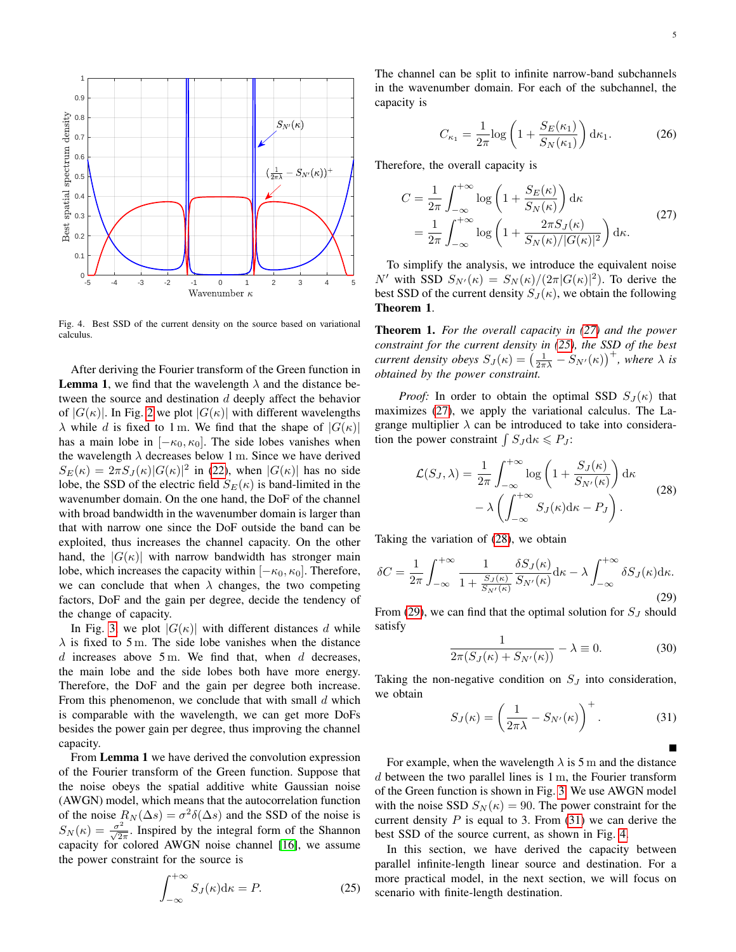

<span id="page-4-5"></span>Fig. 4. Best SSD of the current density on the source based on variational calculus.

After deriving the Fourier transform of the Green function in **Lemma 1,** we find that the wavelength  $\lambda$  and the distance between the source and destination d deeply affect the behavior of  $|G(\kappa)|$ . In Fig. [2](#page-3-2) we plot  $|G(\kappa)|$  with different wavelengths  $\lambda$  while d is fixed to 1 m. We find that the shape of  $|G(\kappa)|$ has a main lobe in  $[-\kappa_0, \kappa_0]$ . The side lobes vanishes when the wavelength  $\lambda$  decreases below 1 m. Since we have derived  $S_E(\kappa) = 2\pi S_J(\kappa) |G(\kappa)|^2$  in [\(22\)](#page-3-3), when  $|G(\kappa)|$  has no side lobe, the SSD of the electric field  $S_F(\kappa)$  is band-limited in the wavenumber domain. On the one hand, the DoF of the channel with broad bandwidth in the wavenumber domain is larger than that with narrow one since the DoF outside the band can be exploited, thus increases the channel capacity. On the other hand, the  $|G(\kappa)|$  with narrow bandwidth has stronger main lobe, which increases the capacity within  $[-\kappa_0, \kappa_0]$ . Therefore, we can conclude that when  $\lambda$  changes, the two competing factors, DoF and the gain per degree, decide the tendency of the change of capacity.

In Fig. [3,](#page-3-4) we plot  $|G(\kappa)|$  with different distances d while  $\lambda$  is fixed to 5 m. The side lobe vanishes when the distance  $d$  increases above 5 m. We find that, when  $d$  decreases, the main lobe and the side lobes both have more energy. Therefore, the DoF and the gain per degree both increase. From this phenomenon, we conclude that with small  $d$  which is comparable with the wavelength, we can get more DoFs besides the power gain per degree, thus improving the channel capacity.

From Lemma 1 we have derived the convolution expression of the Fourier transform of the Green function. Suppose that the noise obeys the spatial additive white Gaussian noise (AWGN) model, which means that the autocorrelation function of the noise  $R_N(\Delta s) = \sigma^2 \delta(\Delta s)$  and the SSD of the noise is  $S_N(\kappa) = \frac{\sigma^2}{\sqrt{2\pi}}$ . Inspired by the integral form of the Shannon capacity for colored AWGN noise channel [\[16\]](#page-8-15), we assume the power constraint for the source is

<span id="page-4-1"></span>
$$
\int_{-\infty}^{+\infty} S_J(\kappa) d\kappa = P.
$$
 (25)

The channel can be split to infinite narrow-band subchannels in the wavenumber domain. For each of the subchannel, the capacity is

$$
C_{\kappa_1} = \frac{1}{2\pi} \log \left( 1 + \frac{S_E(\kappa_1)}{S_N(\kappa_1)} \right) d\kappa_1.
$$
 (26)

Therefore, the overall capacity is

<span id="page-4-0"></span>
$$
C = \frac{1}{2\pi} \int_{-\infty}^{+\infty} \log\left(1 + \frac{S_E(\kappa)}{S_N(\kappa)}\right) d\kappa
$$
  
= 
$$
\frac{1}{2\pi} \int_{-\infty}^{+\infty} \log\left(1 + \frac{2\pi S_J(\kappa)}{S_N(\kappa)/|G(\kappa)|^2}\right) d\kappa.
$$
 (27)

To simplify the analysis, we introduce the equivalent noise N' with SSD  $S_{N'}(\kappa) = S_N(\kappa)/(2\pi |G(\kappa)|^2)$ . To derive the best SSD of the current density  $S_J(\kappa)$ , we obtain the following Theorem 1.

Theorem 1. *For the overall capacity in [\(27\)](#page-4-0) and the power constraint for the current density in [\(25\)](#page-4-1), the SSD of the best current density obeys*  $S_J(\kappa) = \left(\frac{1}{2\pi\lambda} - S_{N'}(\kappa)\right)^+$ , where  $\lambda$  is *obtained by the power constraint.*

*Proof:* In order to obtain the optimal SSD  $S_J(\kappa)$  that maximizes [\(27\)](#page-4-0), we apply the variational calculus. The Lagrange multiplier  $\lambda$  can be introduced to take into consideration the power constraint  $\int S_J d\kappa \leq P_J$ :

<span id="page-4-2"></span>
$$
\mathcal{L}(S_J, \lambda) = \frac{1}{2\pi} \int_{-\infty}^{+\infty} \log\left(1 + \frac{S_J(\kappa)}{S_{N'}(\kappa)}\right) d\kappa \n- \lambda \left(\int_{-\infty}^{+\infty} S_J(\kappa) d\kappa - P_J\right).
$$
\n(28)

Taking the variation of [\(28\)](#page-4-2), we obtain

<span id="page-4-3"></span>
$$
\delta C = \frac{1}{2\pi} \int_{-\infty}^{+\infty} \frac{1}{1 + \frac{S_J(\kappa)}{S_{N'}(\kappa)}} \frac{\delta S_J(\kappa)}{S_{N'}(\kappa)} d\kappa - \lambda \int_{-\infty}^{+\infty} \delta S_J(\kappa) d\kappa.
$$
\n(29)

From [\(29\)](#page-4-3), we can find that the optimal solution for  $S_J$  should satisfy

$$
\frac{1}{2\pi(S_J(\kappa) + S_{N'}(\kappa))} - \lambda \equiv 0.
$$
 (30)

Taking the non-negative condition on  $S_J$  into consideration, we obtain

<span id="page-4-4"></span>
$$
S_J(\kappa) = \left(\frac{1}{2\pi\lambda} - S_{N'}(\kappa)\right)^+.
$$
 (31)

 $\blacksquare$ 

For example, when the wavelength  $\lambda$  is 5 m and the distance d between the two parallel lines is  $1 \text{ m}$ , the Fourier transform of the Green function is shown in Fig. [3.](#page-3-4) We use AWGN model with the noise SSD  $S_N(\kappa) = 90$ . The power constraint for the current density  $P$  is equal to 3. From [\(31\)](#page-4-4) we can derive the best SSD of the source current, as shown in Fig. [4.](#page-4-5)

In this section, we have derived the capacity between parallel infinite-length linear source and destination. For a more practical model, in the next section, we will focus on scenario with finite-length destination.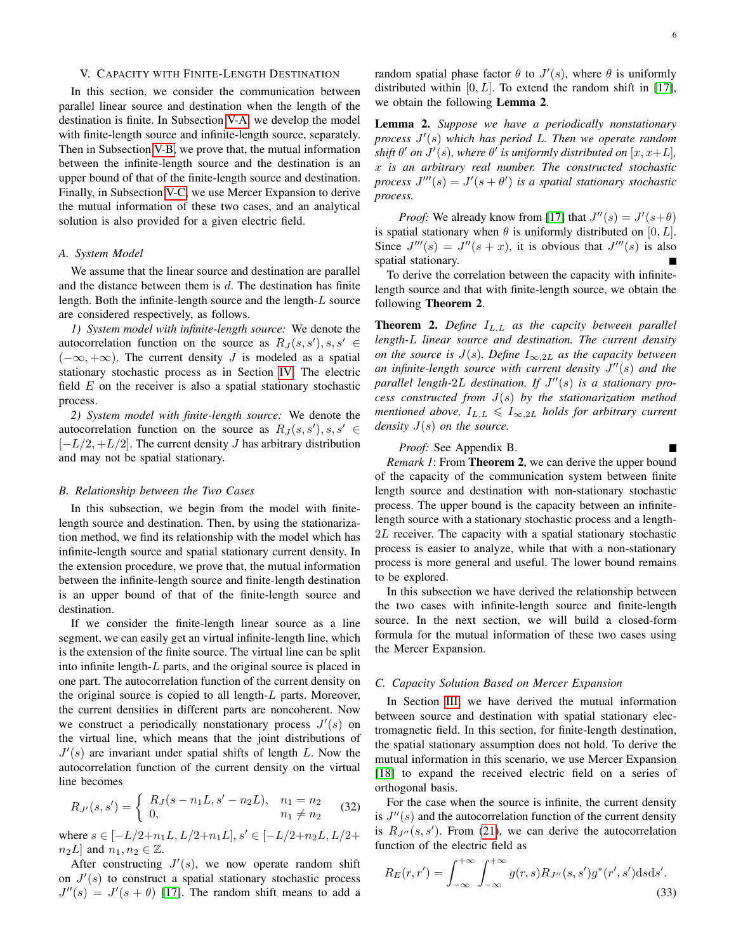## <span id="page-5-0"></span>V. CAPACITY WITH FINITE-LENGTH DESTINATION

In this section, we consider the communication between parallel linear source and destination when the length of the destination is finite. In Subsection [V-A,](#page-5-1) we develop the model with finite-length source and infinite-length source, separately. Then in Subsection [V-B,](#page-5-2) we prove that, the mutual information between the infinite-length source and the destination is an upper bound of that of the finite-length source and destination. Finally, in Subsection [V-C,](#page-5-3) we use Mercer Expansion to derive the mutual information of these two cases, and an analytical solution is also provided for a given electric field.

#### <span id="page-5-1"></span>*A. System Model*

We assume that the linear source and destination are parallel and the distance between them is  $d$ . The destination has finite length. Both the infinite-length source and the length-L source are considered respectively, as follows.

*1) System model with infinite-length source:* We denote the autocorrelation function on the source as  $R_J(s, s')$ ,  $s, s' \in$  $(-\infty, +\infty)$ . The current density J is modeled as a spatial stationary stochastic process as in Section [IV.](#page-3-0) The electric field  $E$  on the receiver is also a spatial stationary stochastic process.

*2) System model with finite-length source:* We denote the autocorrelation function on the source as  $R_J(s, s')$ ,  $s, s' \in$  $[-L/2,+L/2]$ . The current density J has arbitrary distribution and may not be spatial stationary.

#### <span id="page-5-2"></span>*B. Relationship between the Two Cases*

In this subsection, we begin from the model with finitelength source and destination. Then, by using the stationarization method, we find its relationship with the model which has infinite-length source and spatial stationary current density. In the extension procedure, we prove that, the mutual information between the infinite-length source and finite-length destination is an upper bound of that of the finite-length source and destination.

If we consider the finite-length linear source as a line segment, we can easily get an virtual infinite-length line, which is the extension of the finite source. The virtual line can be split into infinite length-L parts, and the original source is placed in one part. The autocorrelation function of the current density on the original source is copied to all length-L parts. Moreover, the current densities in different parts are noncoherent. Now we construct a periodically nonstationary process  $J'(s)$  on the virtual line, which means that the joint distributions of  $J'(s)$  are invariant under spatial shifts of length L. Now the autocorrelation function of the current density on the virtual line becomes

$$
R_{J'}(s,s') = \begin{cases} R_J(s - n_1 L, s' - n_2 L), & n_1 = n_2 \\ 0, & n_1 \neq n_2 \end{cases}
$$
 (32)

where  $s \in [-L/2+n_1L, L/2+n_1L], s' \in [-L/2+n_2L, L/2+$  $n_2L$  and  $n_1, n_2 \in \mathbb{Z}$ .

After constructing  $J'(s)$ , we now operate random shift on  $J'(s)$  to construct a spatial stationary stochastic process  $J''(s) = J'(s + \theta)$  [\[17\]](#page-8-16). The random shift means to add a

Lemma 2. *Suppose we have a periodically nonstationary process* J 0 (s) *which has period* L*. Then we operate random shift*  $\theta'$  *on*  $J'(s)$ *, where*  $\theta'$  *is uniformly distributed on*  $[x, x+L]$ *,* x *is an arbitrary real number. The constructed stochastic process*  $J'''(s) = J'(s + \theta')$  *is a spatial stationary stochastic process.*

*Proof:* We already know from [\[17\]](#page-8-16) that  $J''(s) = J'(s+\theta)$ is spatial stationary when  $\theta$  is uniformly distributed on [0, L]. Since  $J'''(s) = J''(s + x)$ , it is obvious that  $J'''(s)$  is also spatial stationary.

To derive the correlation between the capacity with infinitelength source and that with finite-length source, we obtain the following Theorem 2.

**Theorem 2.** *Define*  $I_{LL}$  *as the capcity between parallel length-*L *linear source and destination. The current density on the source is*  $J(s)$ *. Define*  $I_{\infty,2L}$  *as the capacity between* an infinite-length source with current density  $J''(s)$  and the parallel length-2L destination. If  $J''(s)$  is a stationary pro*cess constructed from* J(s) *by the stationarization method mentioned above,*  $I_{L,L} \leq I_{\infty,2L}$  *holds for arbitrary current density* J(s) *on the source.*

*Proof:* See Appendix B.

*Remark 1*: From **Theorem 2**, we can derive the upper bound of the capacity of the communication system between finite length source and destination with non-stationary stochastic process. The upper bound is the capacity between an infinitelength source with a stationary stochastic process and a length- $2L$  receiver. The capacity with a spatial stationary stochastic process is easier to analyze, while that with a non-stationary process is more general and useful. The lower bound remains to be explored.

In this subsection we have derived the relationship between the two cases with infinite-length source and finite-length source. In the next section, we will build a closed-form formula for the mutual information of these two cases using the Mercer Expansion.

## <span id="page-5-3"></span>*C. Capacity Solution Based on Mercer Expansion*

In Section [III,](#page-2-0) we have derived the mutual information between source and destination with spatial stationary electromagnetic field. In this section, for finite-length destination, the spatial stationary assumption does not hold. To derive the mutual information in this scenario, we use Mercer Expansion [\[18\]](#page-8-17) to expand the received electric field on a series of orthogonal basis.

For the case when the source is infinite, the current density is  $J''(s)$  and the autocorrelation function of the current density is  $R_{J''}(s, s')$ . From [\(21\)](#page-3-5), we can derive the autocorrelation function of the electric field as

$$
R_E(r, r') = \int_{-\infty}^{+\infty} \int_{-\infty}^{+\infty} g(r, s) R_{J''}(s, s') g^*(r', s') ds ds'.
$$
\n(33)

 $\blacksquare$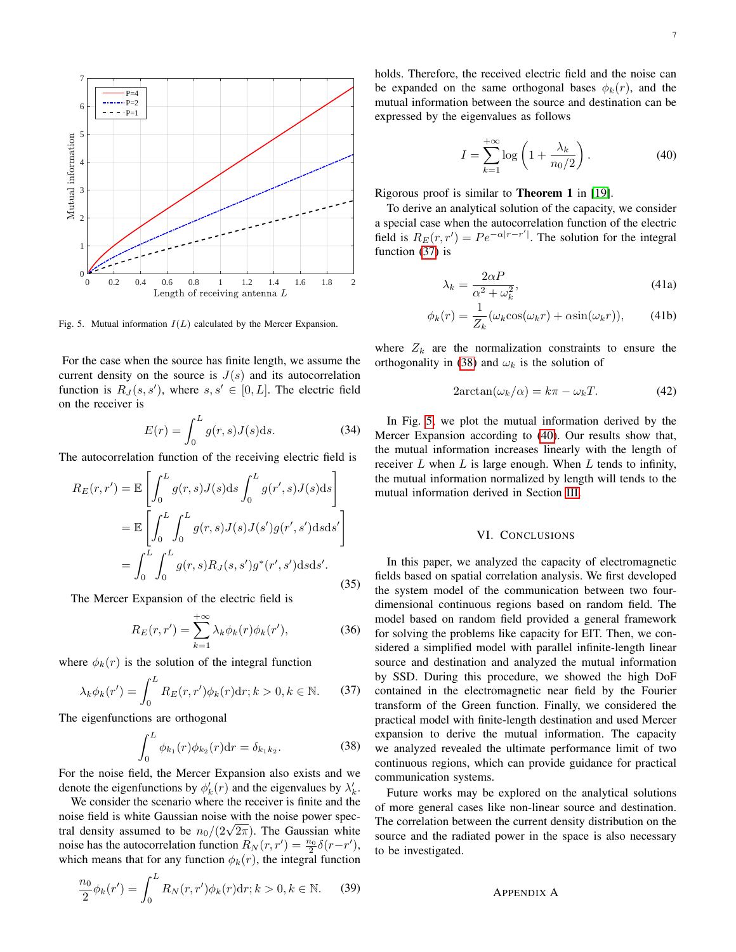

<span id="page-6-3"></span>Fig. 5. Mutual information  $I(L)$  calculated by the Mercer Expansion.

For the case when the source has finite length, we assume the current density on the source is  $J(s)$  and its autocorrelation function is  $R_J(s, s')$ , where  $s, s' \in [0, L]$ . The electric field on the receiver is

$$
E(r) = \int_0^L g(r, s)J(s)ds.
$$
 (34)

The autocorrelation function of the receiving electric field is

$$
R_E(r,r') = \mathbb{E}\left[\int_0^L g(r,s)J(s)ds \int_0^L g(r',s)J(s)ds\right]
$$
  
= 
$$
\mathbb{E}\left[\int_0^L \int_0^L g(r,s)J(s)J(s')g(r',s')dsds'\right]
$$
  
= 
$$
\int_0^L \int_0^L g(r,s)R_J(s,s')g^*(r',s')dsds'.
$$
 (35)

The Mercer Expansion of the electric field is

$$
R_E(r, r') = \sum_{k=1}^{+\infty} \lambda_k \phi_k(r) \phi_k(r'), \qquad (36)
$$

where  $\phi_k(r)$  is the solution of the integral function

<span id="page-6-1"></span>
$$
\lambda_k \phi_k(r') = \int_0^L R_E(r, r') \phi_k(r) dr; k > 0, k \in \mathbb{N}.
$$
 (37)

The eigenfunctions are orthogonal

<span id="page-6-2"></span>
$$
\int_0^L \phi_{k_1}(r)\phi_{k_2}(r)dr = \delta_{k_1k_2}.
$$
 (38)

For the noise field, the Mercer Expansion also exists and we denote the eigenfunctions by  $\phi'_k(r)$  and the eigenvalues by  $\lambda'_k$ .

We consider the scenario where the receiver is finite and the noise field is white Gaussian noise with the noise power specnoise neid is white Gaussian noise with the noise power spectral density assumed to be  $n_0/(2\sqrt{2\pi})$ . The Gaussian white noise has the autocorrelation function  $R_N(r, r') = \frac{n_0}{2} \delta(r - r'),$ which means that for any function  $\phi_k(r)$ , the integral function

$$
\frac{n_0}{2}\phi_k(r') = \int_0^L R_N(r, r')\phi_k(r)dr; k > 0, k \in \mathbb{N}.
$$
 (39)

holds. Therefore, the received electric field and the noise can be expanded on the same orthogonal bases  $\phi_k(r)$ , and the mutual information between the source and destination can be expressed by the eigenvalues as follows

<span id="page-6-4"></span>
$$
I = \sum_{k=1}^{+\infty} \log\left(1 + \frac{\lambda_k}{n_0/2}\right). \tag{40}
$$

Rigorous proof is similar to Theorem 1 in [\[19\]](#page-8-18).

To derive an analytical solution of the capacity, we consider a special case when the autocorrelation function of the electric field is  $R_E(r, r') = Pe^{-\alpha |r - r'|}$ . The solution for the integral function [\(37\)](#page-6-1) is

$$
\lambda_k = \frac{2\alpha P}{\alpha^2 + \omega_k^2},\tag{41a}
$$

$$
\phi_k(r) = \frac{1}{Z_k} (\omega_k \cos(\omega_k r) + \alpha \sin(\omega_k r)), \quad (41b)
$$

where  $Z_k$  are the normalization constraints to ensure the orthogonality in [\(38\)](#page-6-2) and  $\omega_k$  is the solution of

$$
2\arctan(\omega_k/\alpha) = k\pi - \omega_k T.
$$
 (42)

In Fig. [5,](#page-6-3) we plot the mutual information derived by the Mercer Expansion according to [\(40\)](#page-6-4). Our results show that, the mutual information increases linearly with the length of receiver  $L$  when  $L$  is large enough. When  $L$  tends to infinity, the mutual information normalized by length will tends to the mutual information derived in Section [III.](#page-2-0)

## VI. CONCLUSIONS

<span id="page-6-0"></span>In this paper, we analyzed the capacity of electromagnetic fields based on spatial correlation analysis. We first developed the system model of the communication between two fourdimensional continuous regions based on random field. The model based on random field provided a general framework for solving the problems like capacity for EIT. Then, we considered a simplified model with parallel infinite-length linear source and destination and analyzed the mutual information by SSD. During this procedure, we showed the high DoF contained in the electromagnetic near field by the Fourier transform of the Green function. Finally, we considered the practical model with finite-length destination and used Mercer expansion to derive the mutual information. The capacity we analyzed revealed the ultimate performance limit of two continuous regions, which can provide guidance for practical communication systems.

Future works may be explored on the analytical solutions of more general cases like non-linear source and destination. The correlation between the current density distribution on the source and the radiated power in the space is also necessary to be investigated.

## APPENDIX A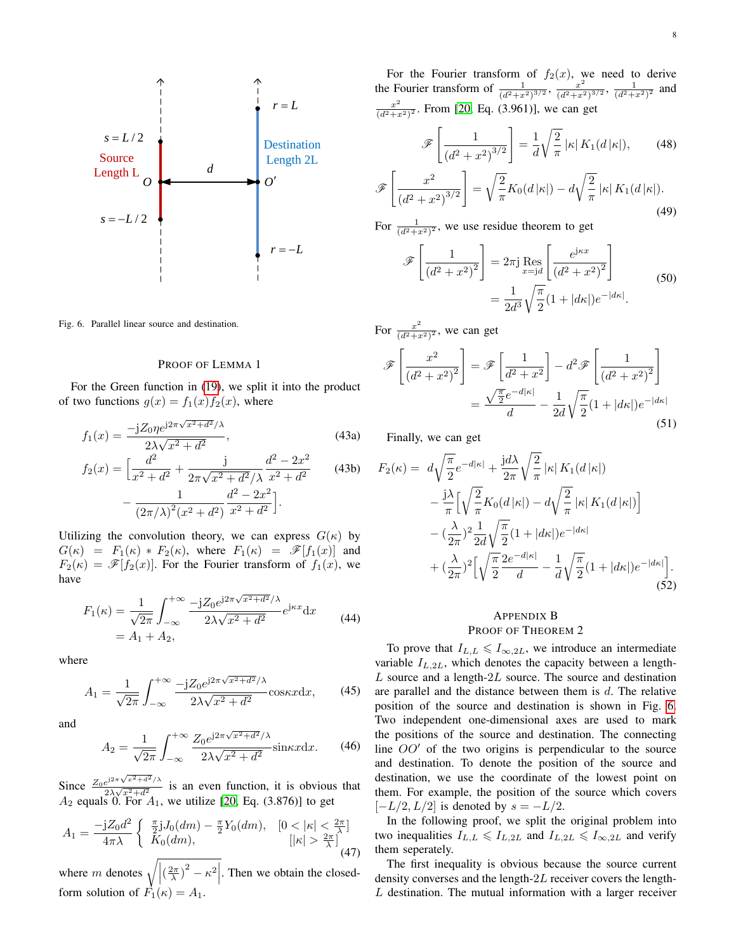

<span id="page-7-0"></span>Fig. 6. Parallel linear source and destination.

## PROOF OF LEMMA 1

For the Green function in [\(19\)](#page-3-1), we split it into the product of two functions  $g(x) = f_1(x) f_2(x)$ , where

$$
f_1(x) = \frac{-jZ_0 \eta e^{j2\pi\sqrt{x^2 + d^2}/\lambda}}{2\lambda\sqrt{x^2 + d^2}},
$$
\n(43a)

$$
f_2(x) = \left[\frac{d^2}{x^2 + d^2} + \frac{j}{2\pi\sqrt{x^2 + d^2}/\lambda} \frac{d^2 - 2x^2}{x^2 + d^2}\right] \tag{43b}
$$

$$
-\frac{1}{\left(2\pi/\lambda\right)^2 \left(x^2 + d^2\right)} \frac{d^2 - 2x^2}{x^2 + d^2}.
$$

Utilizing the convolution theory, we can express  $G(\kappa)$  by  $G(\kappa) = F_1(\kappa) * F_2(\kappa)$ , where  $F_1(\kappa) = \mathscr{F}[f_1(x)]$  and  $F_2(\kappa) = \mathscr{F}[f_2(x)]$ . For the Fourier transform of  $f_1(x)$ , we have

$$
F_1(\kappa) = \frac{1}{\sqrt{2\pi}} \int_{-\infty}^{+\infty} \frac{-jZ_0 e^{j2\pi\sqrt{x^2 + d^2}/\lambda}}{2\lambda\sqrt{x^2 + d^2}} e^{j\kappa x} dx
$$
\n
$$
= A_1 + A_2,
$$
\n(44)

where

$$
A_1 = \frac{1}{\sqrt{2\pi}} \int_{-\infty}^{+\infty} \frac{-jZ_0 e^{j2\pi\sqrt{x^2 + d^2}/\lambda}}{2\lambda\sqrt{x^2 + d^2}} \cos\kappa x dx, \qquad (45)
$$

and

$$
A_2 = \frac{1}{\sqrt{2\pi}} \int_{-\infty}^{+\infty} \frac{Z_0 e^{j2\pi\sqrt{x^2 + d^2}/\lambda}}{2\lambda\sqrt{x^2 + d^2}} \operatorname{sinc} x \mathrm{d} x. \tag{46}
$$

Since  $\frac{Z_0 e^{j2\pi \sqrt{x^2+d^2}/\lambda}}{2\sqrt{x^2+d^2}}$  $\frac{e^{j2\pi\sqrt{x^2+(d^2-1)x}}}{2\sqrt{x^2+d^2}}$  is an even function, it is obvious that  $A_2$  equals 0. For  $A_1$ , we utilize [\[20,](#page-8-19) Eq. (3.876)] to get

$$
A_1 = \frac{-jZ_0d^2}{4\pi\lambda} \begin{cases} \frac{\pi}{2}jJ_0(dm) - \frac{\pi}{2}Y_0(dm), & [0 < |\kappa| < \frac{2\pi}{\lambda}] \\ K_0(dm), & [|\kappa| > \frac{2\pi}{\lambda}] \end{cases}
$$
(47)

where *m* denotes  $\sqrt{\left| \left( \frac{2\pi}{\lambda} \right)^2 - \kappa^2 \right|}$ . Then we obtain the closedform solution of  $F_1(\kappa) = A_1$ .

For the Fourier transform of  $f_2(x)$ , we need to derive the Fourier transform of  $\frac{1}{(d^2+x^2)^{3/2}}$ ,  $\frac{x^2}{(d^2+x^2)}$  $\frac{x^2}{(d^2+x^2)^{3/2}}, \frac{1}{(d^2+x^2)^2}$  and

$$
\frac{x^2}{(d^2 + x^2)^2}
$$
. From [20, Eq. (3.961)], we can get
$$
\mathcal{F}\left[\frac{1}{(d^2 + x^2)^{3/2}}\right] = \frac{1}{d}\sqrt{\frac{2}{\pi}}|\kappa|K_1(d|\kappa|),\qquad(48)
$$

$$
\mathscr{F}\left[\frac{x^2}{(d^2+x^2)^{3/2}}\right] = \sqrt{\frac{2}{\pi}}K_0(d|\kappa|) - d\sqrt{\frac{2}{\pi}}|\kappa|K_1(d|\kappa|). \tag{49}
$$

For  $\frac{1}{(d^2+x^2)^2}$ , we use residue theorem to get

$$
\mathscr{F}\left[\frac{1}{(d^2+x^2)^2}\right] = 2\pi j \operatorname{Res}_{x=jd} \left[\frac{e^{j\kappa x}}{(d^2+x^2)^2}\right]
$$

$$
= \frac{1}{2d^3} \sqrt{\frac{\pi}{2}} (1+|d\kappa|) e^{-|d\kappa|}.
$$
(50)

For  $\frac{x^2}{(d^2 + x)}$  $\frac{x^2}{(d^2+x^2)^2}$ , we can get

 $x^2$ 

$$
\mathcal{F}\left[\frac{x^2}{\left(d^2+x^2\right)^2}\right] = \mathcal{F}\left[\frac{1}{d^2+x^2}\right] - d^2\mathcal{F}\left[\frac{1}{\left(d^2+x^2\right)^2}\right]
$$

$$
= \frac{\sqrt{\frac{\pi}{2}}e^{-d|\kappa|}}{d} - \frac{1}{2d}\sqrt{\frac{\pi}{2}}(1+|d\kappa|)e^{-|d\kappa|}
$$
(51)

Finally, we can get

$$
F_2(\kappa) = d\sqrt{\frac{\pi}{2}}e^{-d|\kappa|} + \frac{\mathrm{j}d\lambda}{2\pi}\sqrt{\frac{2}{\pi}}|\kappa| K_1(d|\kappa|)
$$
  

$$
- \frac{\mathrm{j}\lambda}{\pi} \Big[\sqrt{\frac{2}{\pi}}K_0(d|\kappa|) - d\sqrt{\frac{2}{\pi}}|\kappa| K_1(d|\kappa|) \Big]
$$
  

$$
- (\frac{\lambda}{2\pi})^2 \frac{1}{2d}\sqrt{\frac{\pi}{2}}(1+|d\kappa|)e^{-|d\kappa|}
$$
  

$$
+ (\frac{\lambda}{2\pi})^2 \Big[\sqrt{\frac{\pi}{2}} \frac{2e^{-d|\kappa|}}{d} - \frac{1}{d}\sqrt{\frac{\pi}{2}}(1+|d\kappa|)e^{-|d\kappa|} \Big].
$$
 (52)

## APPENDIX B PROOF OF THEOREM 2

To prove that  $I_{L,L} \leqslant I_{\infty,2L}$ , we introduce an intermediate variable  $I_{L,2L}$ , which denotes the capacity between a length- $L$  source and a length- $2L$  source. The source and destination are parallel and the distance between them is d. The relative position of the source and destination is shown in Fig. [6.](#page-7-0) Two independent one-dimensional axes are used to mark the positions of the source and destination. The connecting line  $OO'$  of the two origins is perpendicular to the source and destination. To denote the position of the source and destination, we use the coordinate of the lowest point on them. For example, the position of the source which covers  $[-L/2, L/2]$  is denoted by  $s = -L/2$ .

In the following proof, we split the original problem into two inequalities  $I_{L,L} \le I_{L,2L}$  and  $I_{L,2L} \le I_{\infty,2L}$  and verify them seperately.

The first inequality is obvious because the source current density converses and the length-2L receiver covers the length- $L$  destination. The mutual information with a larger receiver